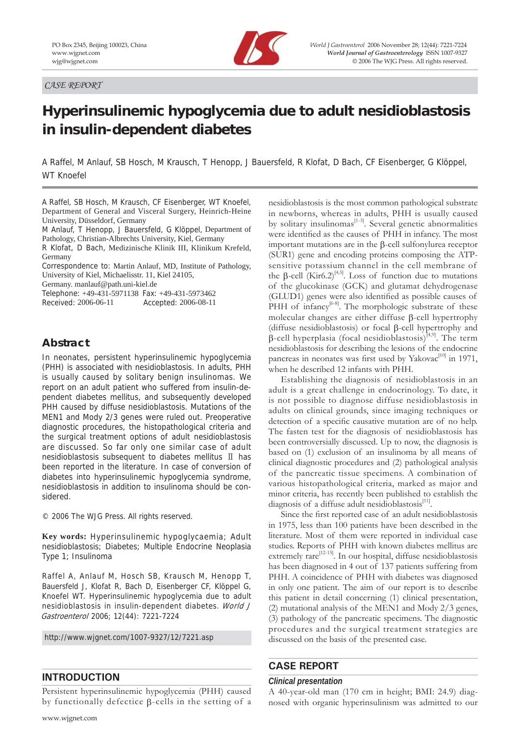*CASE REPORT*



# **Hyperinsulinemic hypoglycemia due to adult nesidioblastosis in insulin-dependent diabetes**

A Raffel, M Anlauf, SB Hosch, M Krausch, T Henopp, J Bauersfeld, R Klofat, D Bach, CF Eisenberger, G Klöppel, WT Knoefel

A Raffel, SB Hosch, M Krausch, CF Eisenberger, WT Knoefel, Department of General and Visceral Surgery, Heinrich-Heine University, Düsseldorf, Germany

M Anlauf, T Henopp, J Bauersfeld, G Klöppel, Department of Pathology, Christian-Albrechts University, Kiel, Germany

R Klofat, D Bach, Medizinische Klinik III, Klinikum Krefeld, Germany

Correspondence to: Martin Anlauf, MD, Institute of Pathology, University of Kiel, Michaelisstr. 11, Kiel 24105,

Germany. manlauf@path.uni-kiel.de

Telephone: +49-431-5971138 Fax: +49-431-5973462 Received: 2006-06-11 Accepted: 2006-08-11

# **Abstract**

In neonates, persistent hyperinsulinemic hypoglycemia (PHH) is associated with nesidioblastosis. In adults, PHH is usually caused by solitary benign insulinomas. We report on an adult patient who suffered from insulin-dependent diabetes mellitus, and subsequently developed PHH caused by diffuse nesidioblastosis. Mutations of the MEN1 and Mody 2/3 genes were ruled out. Preoperative diagnostic procedures, the histopathological criteria and the surgical treatment options of adult nesidioblastosis are discussed. So far only one similar case of adult nesidioblastosis subsequent to diabetes mellitus Ⅱ has been reported in the literature. In case of conversion of diabetes into hyperinsulinemic hypoglycemia syndrome, nesidioblastosis in addition to insulinoma should be considered.

© 2006 The WJG Press. All rights reserved.

**Key words:** Hyperinsulinemic hypoglycaemia; Adult nesidioblastosis; Diabetes; Multiple Endocrine Neoplasia Type 1; Insulinoma

Raffel A, Anlauf M, Hosch SB, Krausch M, Henopp T, Bauersfeld J, Klofat R, Bach D, Eisenberger CF, Klöppel G, Knoefel WT. Hyperinsulinemic hypoglycemia due to adult nesidioblastosis in insulin-dependent diabetes. World J Gastroenterol 2006; 12(44): 7221-7224

http://www.wjgnet.com/1007-9327/12/7221.asp

# **INTRODUCTION**

Persistent hyperinsulinemic hypoglycemia (PHH) caused by functionally defectice β-cells in the setting of a nesidioblastosis is the most common pathological substrate in newborns, whereas in adults, PHH is usually caused by solitary insulinomas<sup>[1-3]</sup>. Several genetic abnormalities were identified as the causes of PHH in infancy. The most important mutations are in the β-cell sulfonylurea receptor (SUR1) gene and encoding proteins composing the ATPsensitive potassium channel in the cell membrane of the  $\beta$ -cell (Kir6.2)<sup>[4,5]</sup>. Loss of function due to mutations of the glucokinase (GCK) and glutamat dehydrogenase (GLUD1) genes were also identified as possible causes of PHH of infancy<sup>[6-8]</sup>. The morphologic substrate of these molecular changes are either diffuse β-cell hypertrophy (diffuse nesidioblastosis) or focal β-cell hypertrophy and  $β$ -cell hyperplasia (focal nesidioblastosis)<sup>[4,9]</sup>. The term nesidioblastosis for describing the lesions of the endocrine pancreas in neonates was first used by Yakovac<sup>[10]</sup> in 1971, when he described 12 infants with PHH.

Establishing the diagnosis of nesidioblastosis in an adult is a great challenge in endocrinology. To date, it is not possible to diagnose diffuse nesidioblastosis in adults on clinical grounds, since imaging techniques or detection of a specific causative mutation are of no help. The fasten test for the diagnosis of nesidioblastosis has been controversially discussed. Up to now, the diagnosis is based on (1) exclusion of an insulinoma by all means of clinical diagnostic procedures and (2) pathological analysis of the pancreatic tissue specimens. A combination of various histopathological criteria, marked as major and minor criteria, has recently been published to establish the diagnosis of a diffuse adult nesidioblastosis $^{[11]}$ .

Since the first reported case of an adult nesidioblastosis in 1975, less than 100 patients have been described in the literature. Most of them were reported in individual case studies. Reports of PHH with known diabetes mellitus are extremely  $\text{rare}^{[12\text{-}15]}$ . In our hospital, diffuse nesidioblastosis has been diagnosed in 4 out of 137 patients suffering from PHH. A coincidence of PHH with diabetes was diagnosed in only one patient. The aim of our report is to describe this patient in detail concerning (1) clinical presentation, (2) mutational analysis of the MEN1 and Mody 2/3 genes, (3) pathology of the pancreatic specimens. The diagnostic procedures and the surgical treatment strategies are discussed on the basis of the presented case.

# **CASE REPORT**

### *Clinical presentation*

A 40-year-old man (170 cm in height; BMI: 24.9) diagnosed with organic hyperinsulinism was admitted to our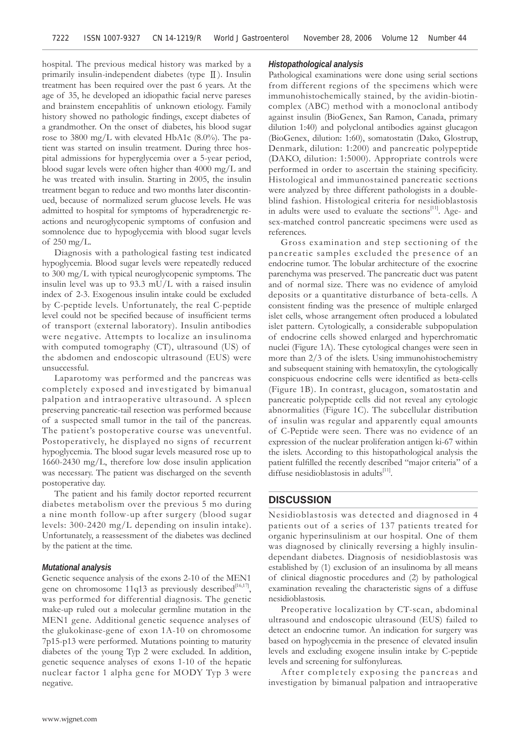hospital. The previous medical history was marked by a primarily insulin-independent diabetes (type Ⅱ). Insulin treatment has been required over the past 6 years. At the age of 35, he developed an idiopathic facial nerve pareses and brainstem encepahlitis of unknown etiology. Family history showed no pathologic findings, except diabetes of a grandmother. On the onset of diabetes, his blood sugar rose to 3800 mg/L with elevated HbA1c (8.0%). The patient was started on insulin treatment. During three hospital admissions for hyperglycemia over a 5-year period, blood sugar levels were often higher than 4000 mg/L and he was treated with insulin. Starting in 2005, the insulin treatment began to reduce and two months later discontinued, because of normalized serum glucose levels. He was admitted to hospital for symptoms of hyperadrenergic reactions and neuroglycopenic symptoms of confusion and somnolence due to hypoglycemia with blood sugar levels of 250 mg/L.

Diagnosis with a pathological fasting test indicated hypoglycemia. Blood sugar levels were repeatedly reduced to 300 mg/L with typical neuroglycopenic symptoms. The insulin level was up to 93.3 mU/L with a raised insulin index of 2-3. Exogenous insulin intake could be excluded by C-peptide levels. Unfortunately, the real C-peptide level could not be specified because of insufficient terms of transport (external laboratory). Insulin antibodies were negative. Attempts to localize an insulinoma with computed tomography (CT), ultrasound (US) of the abdomen and endoscopic ultrasound (EUS) were unsuccessful.

Laparotomy was performed and the pancreas was completely exposed and investigated by bimanual palpation and intraoperative ultrasound. A spleen preserving pancreatic-tail resection was performed because of a suspected small tumor in the tail of the pancreas. The patient's postoperative course was uneventful. Postoperatively, he displayed no signs of recurrent hypoglycemia. The blood sugar levels measured rose up to 1660-2430 mg/L, therefore low dose insulin application was necessary. The patient was discharged on the seventh postoperative day.

The patient and his family doctor reported recurrent diabetes metabolism over the previous 5 mo during a nine month follow-up after surgery (blood sugar levels: 300-2420 mg/L depending on insulin intake). Unfortunately, a reassessment of the diabetes was declined by the patient at the time.

#### *Mutational analysis*

Genetic sequence analysis of the exons 2-10 of the MEN1 gene on chromosome 11q13 as previously described<sup>[16,17]</sup>, was performed for differential diagnosis. The genetic make-up ruled out a molecular germline mutation in the MEN1 gene. Additional genetic sequence analyses of the glukokinase-gene of exon 1A-10 on chromosome 7p15-p13 were performed. Mutations pointing to maturity diabetes of the young Typ 2 were excluded. In addition, genetic sequence analyses of exons 1-10 of the hepatic nuclear factor 1 alpha gene for MODY Typ 3 were negative.

#### *Histopathological analysis*

Pathological examinations were done using serial sections from different regions of the specimens which were immunohistochemically stained, by the avidin-biotincomplex (ABC) method with a monoclonal antibody against insulin (BioGenex, San Ramon, Canada, primary dilution 1:40) and polyclonal antibodies against glucagon (BioGenex, dilution: 1:60), somatostatin (Dako, Glostrup, Denmark, dilution: 1:200) and pancreatic polypeptide (DAKO, dilution: 1:5000). Appropriate controls were performed in order to ascertain the staining specificity. Histological and immunostained pancreatic sections were analyzed by three different pathologists in a doubleblind fashion. Histological criteria for nesidioblastosis in adults were used to evaluate the sections<sup>[11]</sup>. Age- and sex-matched control pancreatic specimens were used as references.

Gross examination and step sectioning of the pancreatic samples excluded the presence of an endocrine tumor. The lobular architecture of the exocrine parenchyma was preserved. The pancreatic duct was patent and of normal size. There was no evidence of amyloid deposits or a quantitative disturbance of beta-cells. A consistent finding was the presence of multiple enlarged islet cells, whose arrangement often produced a lobulated islet pattern. Cytologically, a considerable subpopulation of endocrine cells showed enlarged and hyperchromatic nuclei (Figure 1A). These cytological changes were seen in more than 2/3 of the islets. Using immunohistochemistry and subsequent staining with hematoxylin, the cytologically conspicuous endocrine cells were identified as beta-cells (Figure 1B). In contrast, glucagon, somatostatin and pancreatic polypeptide cells did not reveal any cytologic abnormalities (Figure 1C). The subcellular distribution of insulin was regular and apparently equal amounts of C-Peptide were seen. There was no evidence of an expression of the nuclear proliferation antigen ki-67 within the islets. According to this histopathological analysis the patient fulfilled the recently described "major criteria" of a diffuse nesidioblastosis in adults<sup>[11]</sup>.

#### **DISCUSSION**

Nesidioblastosis was detected and diagnosed in 4 patients out of a series of 137 patients treated for organic hyperinsulinism at our hospital. One of them was diagnosed by clinically reversing a highly insulindependant diabetes. Diagnosis of nesidioblastosis was established by (1) exclusion of an insulinoma by all means of clinical diagnostic procedures and (2) by pathological examination revealing the characteristic signs of a diffuse nesidioblastosis.

Preoperative localization by CT-scan, abdominal ultrasound and endoscopic ultrasound (EUS) failed to detect an endocrine tumor. An indication for surgery was based on hypoglycemia in the presence of elevated insulin levels and excluding exogene insulin intake by C-peptide levels and screening for sulfonylureas.

After completely exposing the pancreas and investigation by bimanual palpation and intraoperative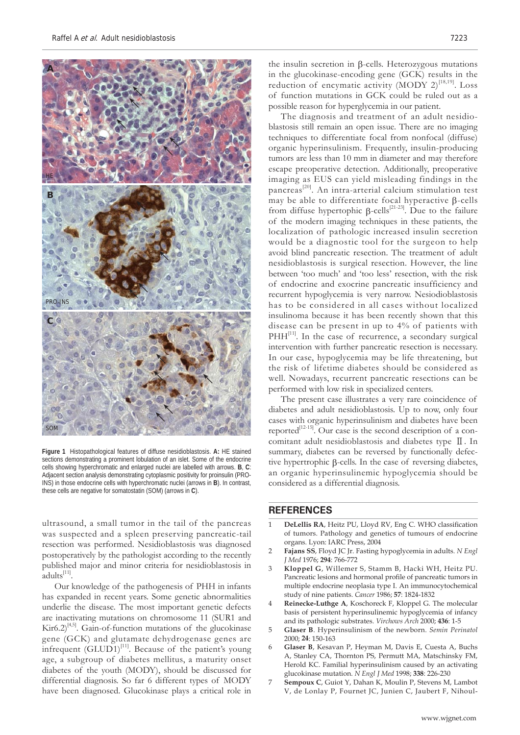

**Figure 1** Histopathological features of diffuse nesidioblastosis. **A:** HE stained sections demonstrating a prominent lobulation of an islet. Some of the endocrine cells showing hyperchromatic and enlarged nuclei are labelled with arrows. **B**, **C**: Adjacent section analysis demonstrating cytoplasmic positivity for proinsulin (PRO-INS) in those endocrine cells with hyperchromatic nuclei (arrows in **B**). In contrast, these cells are negative for somatostatin (SOM) (arrows in **C**).

ultrasound, a small tumor in the tail of the pancreas was suspected and a spleen preserving pancreatic-tail resection was performed. Nesidioblastosis was diagnosed postoperatively by the pathologist according to the recently published major and minor criteria for nesidioblastosis in adults $^{[11]}$ .

Our knowledge of the pathogenesis of PHH in infants has expanded in recent years. Some genetic abnormalities underlie the disease. The most important genetic defects are inactivating mutations on chromosome 11 (SUR1 and  $\text{Kir6.2}^{[4,5]}$ . Gain-of-function mutations of the glucokinase gene (GCK) and glutamate dehydrogenase genes are infrequent  $(GLUD1)^{[11]}$ . Because of the patient's young age, a subgroup of diabetes mellitus, a maturity onset diabetes of the youth (MODY), should be discussed for differential diagnosis. So far 6 different types of MODY have been diagnosed. Glucokinase plays a critical role in

the insulin secretion in β-cells. Heterozygous mutations in the glucokinase-encoding gene (GCK) results in the reduction of encymatic activity (MODY 2)<sup>[18,19]</sup>. Loss of function mutations in GCK could be ruled out as a possible reason for hyperglycemia in our patient.

The diagnosis and treatment of an adult nesidioblastosis still remain an open issue. There are no imaging techniques to differentiate focal from nonfocal (diffuse) organic hyperinsulinism. Frequently, insulin-producing tumors are less than 10 mm in diameter and may therefore escape preoperative detection. Additionally, preoperative imaging as EUS can yield misleading findings in the pancreas[20]. An intra-arterial calcium stimulation test may be able to differentiate focal hyperactive β-cells from diffuse hypertophic  $\beta$ -cells<sup>[21-23]</sup>. Due to the failure of the modern imaging techniques in these patients, the localization of pathologic increased insulin secretion would be a diagnostic tool for the surgeon to help avoid blind pancreatic resection. The treatment of adult nesidioblastosis is surgical resection. However, the line between 'too much' and 'too less' resection, with the risk of endocrine and exocrine pancreatic insufficiency and recurrent hypoglycemia is very narrow. Nesiodioblastosis has to be considered in all cases without localized insulinoma because it has been recently shown that this disease can be present in up to 4% of patients with PHH<sup>[11]</sup>. In the case of recurrence, a secondary surgical intervention with further pancreatic resection is necessary. In our case, hypoglycemia may be life threatening, but the risk of lifetime diabetes should be considered as well. Nowadays, recurrent pancreatic resections can be performed with low risk in specialized centers.

The present case illustrates a very rare coincidence of diabetes and adult nesidioblastosis. Up to now, only four cases with organic hyperinsulinism and diabetes have been reported $\overline{a}^{[12-15]}$ . Our case is the second description of a concomitant adult nesidioblastosis and diabetes type Ⅱ. In summary, diabetes can be reversed by functionally defective hypertrophic β-cells. In the case of reversing diabetes, an organic hyperinsulinemic hypoglycemia should be considered as a differential diagnosis.

## **REFERENCES**

- 1 **DeLellis RA**, Heitz PU, Lloyd RV, Eng C. WHO classification of tumors. Pathology and genetics of tumours of endocrine organs. Lyon: IARC Press, 2004
- 2 **Fajans SS**, Floyd JC Jr. Fasting hypoglycemia in adults. *N Engl J Med* 1976; **294**: 766-772
- 3 **Kloppel G**, Willemer S, Stamm B, Hacki WH, Heitz PU. Pancreatic lesions and hormonal profile of pancreatic tumors in multiple endocrine neoplasia type I. An immunocytochemical study of nine patients. *Cancer* 1986; **57**: 1824-1832
- 4 **Reinecke-Luthge A**, Koschoreck F, Kloppel G. The molecular basis of persistent hyperinsulinemic hypoglycemia of infancy and its pathologic substrates. *Virchows Arch* 2000; **436**: 1-5
- 5 **Glaser B**. Hyperinsulinism of the newborn. *Semin Perinatol*  2000; **24**: 150-163
- 6 **Glaser B**, Kesavan P, Heyman M, Davis E, Cuesta A, Buchs A, Stanley CA, Thornton PS, Permutt MA, Matschinsky FM, Herold KC. Familial hyperinsulinism caused by an activating glucokinase mutation. *N Engl J Med* 1998; **338**: 226-230
- 7 **Sempoux C**, Guiot Y, Dahan K, Moulin P, Stevens M, Lambot V, de Lonlay P, Fournet JC, Junien C, Jaubert F, Nihoul-